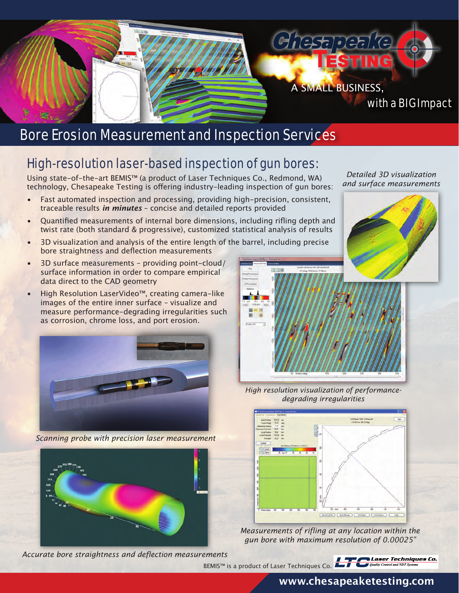

## Bore Erosion Measurement and Inspection Services

## High-resolution laser-based inspection of gun bores:

Using state-of-the-art BEMIS™ (a product of Laser Techniques Co., Redmond, WA) technology, Chesapeake Testing is offering industry-leading inspection of gun bores:

- Fast automated inspection and processing, providing high-precision, consistent, traceable results *in minutes* – concise and detailed reports provided
- Quantified measurements of internal bore dimensions, including rifling depth and twist rate (both standard & progressive), customized statistical analysis of results
- 3D visualization and analysis of the entire length of the barrel, including precise bore straightness and deflection measurements
- 3D surface measurements providing point-cloud/ surface information in order to compare empirical data direct to the CAD geometry
- High Resolution LaserVideo™, creating camera-like images of the entire inner surface – visualize and measure performance-degrading irregularities such as corrosion, chrome loss, and port erosion.



*Scanning probe with precision laser measurement*



*Accurate bore straightness and deflection measurements*

*Detailed 3D visualization and surface measurements*



*High resolution visualization of performancedegrading irregularities*



*Measurements of rifling at any location within the gun bore with maximum resolution of 0.00025"*

BEMIS™ is a product of Laser Techniques Co.



#### **www.chesapeaketesting.com**